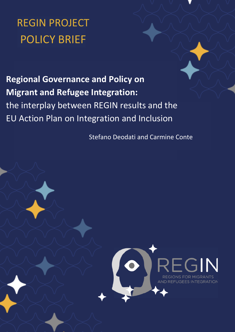# REGIN PROJECT POLICY BRIEF

**Regional Governance and Policy on Migrant and Refugee Integration:** the interplay between REGIN results and the EU Action Plan on Integration and Inclusion

Stefano Deodati and Carmine Conte

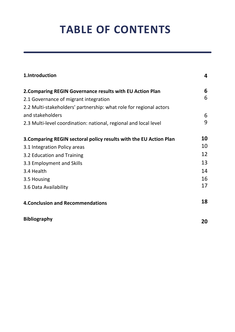# **TABLE OF CONTENTS**

| 1.Introduction                                                     | 4  |
|--------------------------------------------------------------------|----|
| 2. Comparing REGIN Governance results with EU Action Plan          | 6  |
| 2.1 Governance of migrant integration                              | 6  |
| 2.2 Multi-stakeholders' partnership: what role for regional actors |    |
| and stakeholders                                                   | 6  |
| 2.3 Multi-level coordination: national, regional and local level   | 9  |
| 3. Comparing REGIN sectoral policy results with the EU Action Plan | 10 |
| 3.1 Integration Policy areas                                       | 10 |
| 3.2 Education and Training                                         | 12 |
| 3.3 Employment and Skills                                          | 13 |
| 3.4 Health                                                         | 14 |
| 3.5 Housing                                                        | 16 |
| 3.6 Data Availability                                              | 17 |
| <b>4. Conclusion and Recommendations</b>                           | 18 |
| <b>Bibliography</b>                                                | 20 |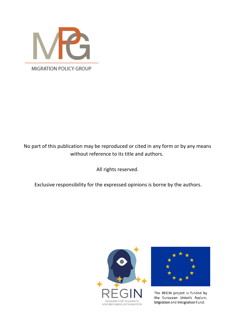

# No part of this publication may be reproduced or cited in any form or by any means without reference to its title and authors.

All rights reserved.

Exclusive responsibility for the expressed opinions is borne by the authors.





The REGIN project is funded by the European Union's Asylum, Migration and Integration Fund.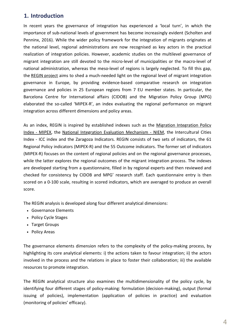# **1. Introduction**

In recent years the governance of integration has experienced a 'local turn', in which the importance of sub-national levels of government has become increasingly evident (Scholten and Penninx, 2016). While the wider policy framework for the integration of migrants originates at the national level, regional administrations are now recognised as key actors in the practical realization of integration policies. However, academic studies on the multilevel governance of migrant integration are still devoted to the micro-level of municipalities or the macro-level of national administration, whereas the meso-level of regions is largely neglected. To fill this gap, the [REGIN project](https://reginproject.eu/) aims to shed a much-needed light on the regional level of migrant integration governance in Europe, by providing evidence-based comparative research on integration governance and policies in 25 European regions from 7 EU member states. In particular, the Barcelona Centre for International affairs (CIDOB) and the Migration Policy Group (MPG) elaborated the so-called 'MIPEX-R', an index evaluating the regional performance on migrant integration across different dimensions and policy areas.

[As an index, REGIN is inspired by established indexes such as the Migration Integration Policy](https://mipex.eu/) Index - MIPEX, the National Integration [Evaluation Mechanism - NIEM](http://www.forintegration.eu/), the Intercultural Cities Index - ICC index and the Zaragoza Indicators. REGIN consists of two sets of indicators, the 61 Regional Policy indicators (MIPEX-R) and the 55 Outcome indicators. The former set of indicators (MIPEX-R) focuses on the content of regional policies and on the regional governance processes, while the latter explores the regional outcomes of the migrant integration process. The indexes are developed starting from a questionnaire, filled in by regional experts and then reviewed and checked for consistency by CIDOB and MPG' research staff. Each questionnaire entry is then scored on a 0-100 scale, resulting in scored indicators, which are averaged to produce an overall score.

The REGIN analysis is developed along four different analytical dimensions:

- Governance Elements
- Policy Cycle Stages
- Target Groups
- Policy Areas

The governance elements dimension refers to the complexity of the policy-making process, by highlighting its core analytical elements: i) the actions taken to favour integration; ii) the actors involved in the process and the relations in place to foster their collaboration; iii) the available resources to promote integration.

The REGIN analytical structure also examines the multidimensionality of the policy cycle, by identifying four different stages of policy-making: formulation (decision-making), output (formal issuing of policies), implementation (application of policies in practice) and evaluation (monitoring of policies' efficacy).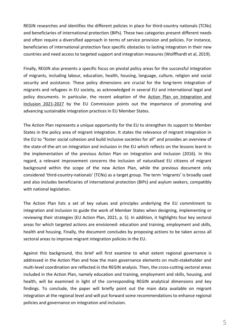REGIN researches and identifies the different policies in place for third-country nationals (TCNs) and beneficiaries of international protection (BIPs). These two categories present different needs and often require a diversified approach in terms of service provision and policies. For instance, beneficiaries of international protection face specific obstacles to lasting integration in their new countries and need access to targeted support and integration measures (Wolffhardt et al, 2019).

Finally, REGIN also presents a specific focus on pivotal policy areas for the successful integration of migrants, including labour, education, health, housing, language, culture, religion and social security and assistance. These policy dimensions are crucial for the long-term integration of migrants and refugees in EU society, as acknowledged in several EU and international legal and [policy documents. In particular, the recent adoption of the Action Plan on Integration and](https://ec.europa.eu/home-affairs/system/files_en?file=2020-11/action_plan_on_integration_and_inclusion_2021-2027.pdf) Inclusion 2021-2027 by the EU Commission points out the importance of promoting and advancing sustainable integration practices in EU Member States.

The Action Plan represents a unique opportunity for the EU to strengthen its support to Member States in the policy area of migrant integration. It states the relevance of migrant integration in the EU to "foster social cohesion and build inclusive societies for all" and provides an overview of the state-of-the-art on integration and inclusion in the EU which reflects on the lessons learnt in the implementation of the previous Action Plan on Integration and Inclusion (2016). In this regard, a relevant improvement concerns the inclusion of naturalised EU citizens of migrant background within the scope of the new Action Plan, while the previous document only considered 'third-country-nationals' (TCNs) as a target group. The term 'migrants' is broadly used and also includes beneficiaries of international protection (BIPs) and asylum seekers, compatibly with national legislation.

The Action Plan lists a set of key values and principles underlying the EU commitment to integration and inclusion to guide the work of Member States when designing, implementing or reviewing their strategies (EU Action Plan, 2021, p. 5). In addition, it highlights four key sectoral areas for which targeted actions are envisioned: education and training, employment and skills, health and housing. Finally, the document concludes by proposing actions to be taken across all sectoral areas to improve migrant integration policies in the EU.

Against this background, this brief will first examine to what extent regional governance is addressed in the Action Plan and how the main governance elements on multi-stakeholder and multi-level coordination are reflected in the REGIN analysis. Then, the cross-cutting sectoral areas included in the Action Plan, namely education and training, employment and skills, housing, and health, will be examined in light of the corresponding REGIN analytical dimensions and key findings. To conclude, the paper will briefly point out the main data available on migrant integration at the regional level and will put forward some recommendations to enhance regional policies and governance on integration and inclusion.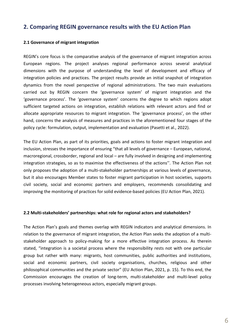## **2. Comparing REGIN governance results with the EU Action Plan**

### **2.1 Governance of migrant integration**

REGIN's core focus is the comparative analysis of the governance of migrant integration across European regions. The project analyses regional performance across several analytical dimensions with the purpose of understanding the level of development and efficacy of integration policies and practices. The project results provide an initial snapshot of integration dynamics from the novel perspective of regional administrations. The two main evaluations carried out by REGIN concern the 'governance system' of migrant integration and the 'governance process'. The 'governance system' concerns the degree to which regions adopt sufficient targeted actions on integration, establish relations with relevant actors and find or allocate appropriate resources to migrant integration. The 'governance process', on the other hand, concerns the analysis of measures and practices in the aforementioned four stages of the policy cycle: formulation, output, implementation and evaluation (Pasetti et al., 2022).

The EU Action Plan, as part of its priorities, goals and actions to foster migrant integration and inclusion, stresses the importance of ensuring "that all levels of governance – European, national, macroregional, crossborder, regional and local – are fully involved in designing and implementing integration strategies, so as to maximise the effectiveness of the actions''. The Action Plan not only proposes the adoption of a multi-stakeholder partnerships at various levels of governance, but it also encourages Member states to foster migrant participation in host societies, supports civil society, social and economic partners and employers, recommends consolidating and improving the monitoring of practices for solid evidence-based policies (EU Action Plan, 2021).

### **2.2 Multi-stakeholders' partnerships: what role for regional actors and stakeholders?**

The Action Plan's goals and themes overlap with REGIN indicators and analytical dimensions. In relation to the governance of migrant integration, the Action Plan seeks the adoption of a multistakeholder approach to policy-making for a more effective integration process. As therein stated, "integration is a societal process where the responsibility rests not with one particular group but rather with many: migrants, host communities, public authorities and institutions, social and economic partners, civil society organisations, churches, religious and other philosophical communities and the private sector" (EU Action Plan, 2021, p. 15). To this end, the Commission encourages the creation of long-term, multi-stakeholder and multi-level policy processes involving heterogeneous actors, especially migrant groups.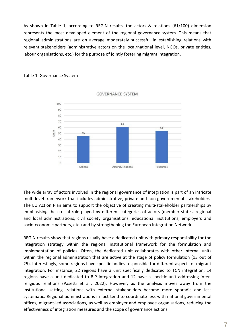As shown in Table 1, according to REGIN results, the actors & relations (61/100) dimension represents the most developed element of the regional governance system. This means that regional administrations are on average moderately successful in establishing relations with relevant stakeholders (administrative actors on the local/national level, NGOs, private entities, labour organisations, etc.) for the purpose of jointly fostering migrant integration.

#### Table 1. Governance System



**GOVERNANCE SYSTEM** 

The wide array of actors involved in the regional governance of integration is part of an intricate multi-level framework that includes administrative, private and non-governmental stakeholders. The EU Action Plan aims to support the objective of creating multi-stakeholder partnerships by emphasising the crucial role played by different categories of actors (member states, regional and local administrations, civil society organisations, educational institutions, employers and socio-economic partners, etc.) and by strengthening the **European Integration Network**.

REGIN results show that regions usually have a dedicated unit with primary responsibility for the integration strategy within the regional institutional framework for the formulation and implementation of policies. Often, the dedicated unit collaborates with other internal units within the regional administration that are active at the stage of policy formulation (13 out of 25). Interestingly, some regions have specific bodies responsible for different aspects of migrant integration. For instance, 22 regions have a unit specifically dedicated to TCN integration, 14 regions have a unit dedicated to BIP integration and 12 have a specific unit addressing interreligious relations (Pasetti et al., 2022). However, as the analysis moves away from the institutional setting, relations with external stakeholders become more sporadic and less systematic. Regional administrations in fact tend to coordinate less with national governmental offices, migrant-led associations, as well as employer and employee organisations, reducing the effectiveness of integration measures and the scope of governance actions.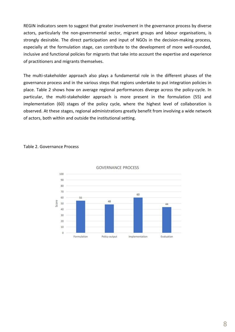REGIN indicators seem to suggest that greater involvement in the governance process by diverse actors, particularly the non-governmental sector, migrant groups and labour organisations, is strongly desirable. The direct participation and input of NGOs in the decision-making process, especially at the formulation stage, can contribute to the development of more well-rounded, inclusive and functional policies for migrants that take into account the expertise and experience of practitioners and migrants themselves.

The multi-stakeholder approach also plays a fundamental role in the different phases of the governance process and in the various steps that regions undertake to put integration policies in place. Table 2 shows how on average regional performances diverge across the policy-cycle. In particular, the multi-stakeholder approach is more present in the formulation (55) and implementation (60) stages of the policy cycle, where the highest level of collaboration is observed. At these stages, regional administrations greatly benefit from involving a wide network of actors, both within and outside the institutional setting.

#### Table 2. Governance Process



**GOVERNANCE PROCESS**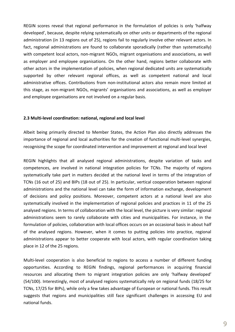REGIN scores reveal that regional performance in the formulation of policies is only 'halfway developed', because, despite relying systematically on other units or departments of the regional administration (in 13 regions out of 25), regions fail to regularly involve other relevant actors. In fact, regional administrations are found to collaborate sporadically (rather than systematically) with competent local actors, non-migrant NGOs, migrant organisations and associations, as well as employer and employee organisations. On the other hand, regions better collaborate with other actors in the implementation of policies, when regional dedicated units are systematically supported by other relevant regional offices, as well as competent national and local administrative offices. Contributions from non-institutional actors also remain more limited at this stage, as non-migrant NGOs, migrants' organisations and associations, as well as employer and employee organisations are not involved on a regular basis.

#### **2.3 Multi-level coordination: national, regional and local level**

Albeit being primarily directed to Member States, the Action Plan also directly addresses the importance of regional and local authorities for the creation of functional multi-level synergies, recognising the scope for coordinated intervention and improvement at regional and local level

REGIN highlights that all analysed regional administrations, despite variation of tasks and competences, are involved in national integration policies for TCNs. The majority of regions systematically take part in matters decided at the national level in terms of the integration of TCNs (16 out of 25) and BIPs (18 out of 25). In particular, vertical cooperation between regional administrations and the national level can take the form of information exchange, development of decisions and policy positions. Moreover, competent actors at a national level are also systematically involved in the implementation of regional policies and practices in 11 of the 25 analysed regions. In terms of collaboration with the local level, the picture is very similar: regional administrations seem to rarely collaborate with cities and municipalities. For instance, in the formulation of policies, collaboration with local offices occurs on an occasional basis in about half of the analysed regions. However, when it comes to putting policies into practice, regional administrations appear to better cooperate with local actors, with regular coordination taking place in 12 of the 25 regions.

Multi-level cooperation is also beneficial to regions to access a number of different funding opportunities. According to REGIN findings, regional performances in acquiring financial resources and allocating them to migrant integration policies are only 'halfway developed' (54/100). Interestingly, most of analysed regions systematically rely on regional funds (18/25 for TCNs, 17/25 for BIPs), while only a few takes advantage of European or national funds. This result suggests that regions and municipalities still face significant challenges in accessing EU and national funds.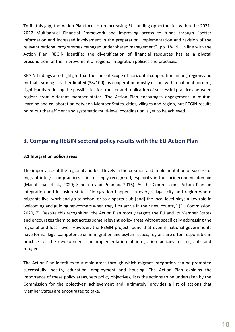To fill this gap, the Action Plan focuses on increasing EU funding opportunities within the 2021- 2027 Multiannual Financial Framework and improving access to funds through "better information and increased involvement in the preparation, implementation and revision of the relevant national programmes managed under shared management" (pp. 18-19). In line with the Action Plan, REGIN identifies the diversification of financial resources has as a pivotal precondition for the improvement of regional integration policies and practices.

REGIN findings also highlight that the current scope of horizontal cooperation among regions and mutual learning is rather limited (38/100), as cooperation mostly occurs within national borders, significantly reducing the possibilities for transfer and replication of successful practices between regions from different member states. The Action Plan encourages engagement in mutual learning and collaboration between Member States, cities, villages and region, but REGIN results point out that efficient and systematic multi-level coordination is yet to be achieved.

## **3. Comparing REGIN sectoral policy results with the EU Action Plan**

### **3.1 Integration policy areas**

The importance of the regional and local levels in the creation and implementation of successful migrant integration practices is increasingly recognised, especially in the socioeconomic domain (Manatschal et al., 2020; Scholten and Penninx, 2016). As the Commission's Action Plan on integration and inclusion states: "Integration happens in every village, city and region where migrants live, work and go to school or to a sports club [and] the local level plays a key role in welcoming and guiding newcomers when they first arrive in their new country" (EU Commission, 2020, 7). Despite this recognition, the Action Plan mostly targets the EU and its Member States and encourages them to act across some relevant policy areas without specifically addressing the regional and local level. However, the REGIN project found that even if national governments have formal legal competence on immigration and asylum issues, regions are often responsible in practice for the development and implementation of integration policies for migrants and refugees.

The Action Plan identifies four main areas through which migrant integration can be promoted successfully: health, education, employment and housing. The Action Plan explains the importance of these policy areas, sets policy objectives, lists the actions to be undertaken by the Commission for the objectives' achievement and, ultimately, provides a list of actions that Member States are encouraged to take.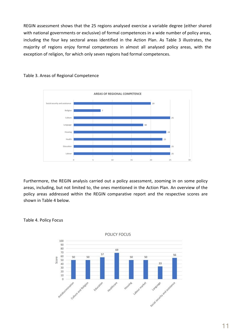REGIN assessment shows that the 25 regions analysed exercise a variable degree (either shared with national governments or exclusive) of formal competences in a wide number of policy areas, including the four key sectoral areas identified in the Action Plan. As Table 3 illustrates, the majority of regions enjoy formal competences in almost all analysed policy areas, with the exception of religion, for which only seven regions had formal competences.





Furthermore, the REGIN analysis carried out a policy assessment, zooming in on some policy areas, including, but not limited to, the ones mentioned in the Action Plan. An overview of the policy areas addressed within the REGIN comparative report and the respective scores are shown in Table 4 below.



Table 4. Policy Focus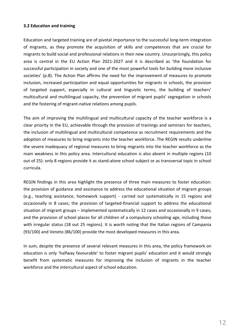## **3.2 Education and training**

Education and targeted training are of pivotal importance to the successful long-term integration of migrants, as they promote the acquisition of skills and competences that are crucial for migrants to build social and professional relations in their new country. Unsurprisingly, this policy area is central in the EU Action Plan 2021-2027 and it is described as 'the foundation for successful participation in society and one of the most powerful tools for building more inclusive societies' (p.8). The Action Plan affirms the need for the improvement of measures to promote inclusion, increased participation and equal opportunities for migrants in schools, the provision of targeted support, especially in cultural and linguistic terms, the building of teachers' multicultural and multilingual capacity, the prevention of migrant pupils' segregation in schools and the fostering of migrant-native relations among pupils.

The aim of improving the multilingual and multicultural capacity of the teacher workforce is a clear priority in the EU, achievable through the provision of trainings and seminars for teachers, the inclusion of multilingual and multicultural competence as recruitment requirements and the adoption of measures to bring migrants into the teacher workforce. The REGIN results underline the severe inadequacy of regional measures to bring migrants into the teacher workforce as the main weakness in this policy area. Intercultural education is also absent in multiple regions (10 out of 25): only 8 regions provide it as stand-alone school subject or as transversal topic in school curricula.

REGIN findings in this area highlight the presence of three main measures to foster education: the provision of guidance and assistance to address the educational situation of migrant groups (e.g., teaching assistance, homework support) - carried out systematically in 15 regions and occasionally in 8 cases; the provision of targeted-financial support to address the educational situation of migrant groups – implemented systematically in 12 cases and occasionally in 9 cases; and the provision of school places for all children of a compulsory schooling age, including those with irregular status (18 out 25 regions). It is worth noting that the Italian regions of Campania (93/100) and Veneto (86/100) provide the most developed measures in this area.

In sum, despite the presence of several relevant measures in this area, the policy framework on education is only 'halfway favourable' to foster migrant pupils' education and it would strongly benefit from systematic measures for improving the inclusion of migrants in the teacher workforce and the intercultural aspect of school education.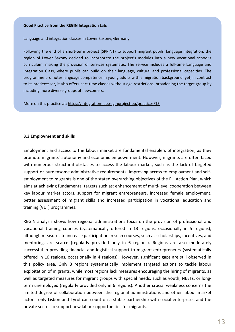#### **Good Practice from the REGIN Integration Lab:**

Language and integration classes in Lower Saxony, Germany

Following the end of a short-term project (SPRINT) to support migrant pupils' language integration, the region of Lower Saxony decided to incorporate the project's modules into a new vocational school's curriculum, making the provision of services systematic. The service includes a full-time Language and Integration Class, where pupils can build on their language, cultural and professional capacities. The programme promotes language competence in young adults with a migration background, yet, in contrast to its predecessor, it also offers part-time classes without age restrictions, broadening the target group by including more diverse groups of newcomers.

More on this practice at: <https://integration-lab.reginproject.eu/practices/15>

## **3.3 Employment and skills**

Employment and access to the labour market are fundamental enablers of integration, as they promote migrants' autonomy and economic empowerment. However, migrants are often faced with numerous structural obstacles to access the labour market, such as the lack of targeted support or burdensome administrative requirements. Improving access to employment and selfemployment to migrants is one of the stated overarching objectives of the EU Action Plan, which aims at achieving fundamental targets such as: enhancement of multi-level cooperation between key labour market actors, support for migrant entrepreneurs, increased female employment, better assessment of migrant skills and increased participation in vocational education and training (VET) programmes.

REGIN analysis shows how regional administrations focus on the provision of professional and vocational training courses (systematically offered in 13 regions, occasionally in 5 regions), although measures to increase participation in such courses, such as scholarships, incentives, and mentoring, are scarce (regularly provided only in 6 regions). Regions are also moderately successful in providing financial and logistical support to migrant entrepreneurs (systematically offered in 10 regions, occasionally in 4 regions). However, significant gaps are still observed in this policy area. Only 3 regions systematically implement targeted actions to tackle labour exploitation of migrants, while most regions lack measures encouraging the hiring of migrants, as well as targeted measures for migrant groups with special needs, such as youth, NEETs, or longterm unemployed (regularly provided only in 6 regions). Another crucial weakness concerns the limited degree of collaboration between the regional administrations and other labour market actors: only Lisbon and Tyrol can count on a stable partnership with social enterprises and the private sector to support new labour opportunities for migrants.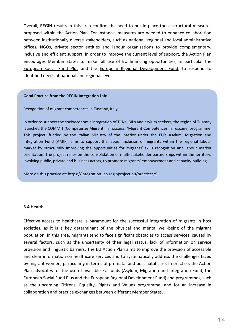Overall, REGIN results in this area confirm the need to put in place those structural measures proposed within the Action Plan. For instance, measures are needed to enhance collaboration between institutionally diverse stakeholders, such as national, regional and local administrative offices, NGOs, private sector entities and labour organisations to provide complementary, inclusive and efficient support. In order to improve the current level of support, the Action Plan encourages Member States to make full use of EU financing opportunities, in particular the [European Social Fund Plus](https://ec.europa.eu/european-social-fund-plus/en) and the [European Regional Development Fund](https://ec.europa.eu/regional_policy/en/funding/erdf/), to respond to identified needs at national and regional level.

#### **Good Practice from the REGIN Integration Lab:**

Recognition of migrant competences in Tuscany, Italy.

In order to support the socioeconomic integration of TCNs, BIPs and asylum seekers, the region of Tuscany launched the COMMIT (Competenze Migranti in Toscana, "Migrant Competences in Tuscany) programme. This project, funded by the Italian Ministry of the Interior under the EU's Asylum, Migration and Integration Fund (AMIF), aims to support the labour inclusion of migrants within the regional labour market by structurally improving the opportunities for migrants' skills recognition and labour market orientation. The project relies on the consolidation of multi-stakeholder partnerships within the territory, involving public, private and business actors, to promote migrants' empowerment and capacity-building.

More on this practice at: <https://integration-lab.reginproject.eu/practices/9>

#### **3.4 Health**

Effective access to healthcare is paramount for the successful integration of migrants in host societies, as it is a key determinant of the physical and mental well-being of the migrant population. In this area, migrants tend to face significant obstacles to access services, caused by several factors, such as the uncertainty of their legal status, lack of information on service provision and linguistic barriers. The EU Action Plan aims to improve the provision of accessible and clear information on healthcare services and to systematically address the challenges faced by migrant women, particularly in terms of pre-natal and post-natal care. In practice, the Action Plan advocates for the use of available EU funds (Asylum, Migration and Integration Fund, the European Social Fund Plus and the European Regional Development Fund) and programmes, such as the upcoming Citizens, Equality, Rights and Values programme, and for an increase in collaboration and practice exchanges between different Member States.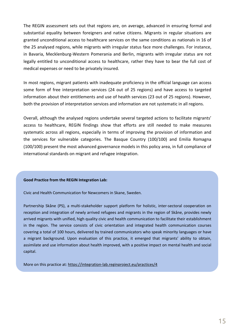The REGIN assessment sets out that regions are, on average, advanced in ensuring formal and substantial equality between foreigners and native citizens. Migrants in regular situations are granted unconditional access to healthcare services on the same conditions as nationals in 16 of the 25 analysed regions, while migrants with irregular status face more challenges. For instance, in Bavaria, Mecklenburg-Western Pomerania and Berlin, migrants with irregular status are not legally entitled to unconditional access to healthcare, rather they have to bear the full cost of medical expenses or need to be privately insured.

In most regions, migrant patients with inadequate proficiency in the official language can access some form of free interpretation services (24 out of 25 regions) and have access to targeted information about their entitlements and use of health services (23 out of 25 regions). However, both the provision of interpretation services and information are not systematic in all regions.

Overall, although the analysed regions undertake several targeted actions to facilitate migrants' access to healthcare, REGIN findings show that efforts are still needed to make measures systematic across all regions, especially in terms of improving the provision of information and the services for vulnerable categories. The Basque Country (100/100) and Emilia Romagna (100/100) present the most advanced governance models in this policy area, in full compliance of international standards on migrant and refugee integration.

#### **Good Practice from the REGIN Integration Lab:**

Civic and Health Communication for Newcomers in Skane, Sweden.

Partnership Skåne (PS), a multi-stakeholder support platform for holistic, inter-sectoral cooperation on reception and integration of newly arrived refugees and migrants in the region of Skåne, provides newly arrived migrants with unified, high quality civic and health communication to facilitate their establishment in the region. The service consists of civic orientation and integrated health communication courses covering a total of 100 hours, delivered by trained communicators who speak minority languages or have a migrant background. Upon evaluation of this practice, it emerged that migrants' ability to obtain, assimilate and use information about health improved, with a positive impact on mental health and social capital.

More on this practice at: <https://integration-lab.reginproject.eu/practices/4>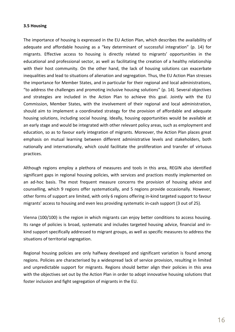### **3.5 Housing**

The importance of housing is expressed in the EU Action Plan, which describes the availability of adequate and affordable housing as a "key determinant of successful integration" (p. 14) for migrants. Effective access to housing is directly related to migrants' opportunities in the educational and professional sector, as well as facilitating the creation of a healthy relationship with their host community. On the other hand, the lack of housing solutions can exacerbate inequalities and lead to situations of alienation and segregation. Thus, the EU Action Plan stresses the importance for Member States, and in particular for their regional and local administrations, "to address the challenges and promoting inclusive housing solutions" (p. 14). Several objectives and strategies are included in the Action Plan to achieve this goal. Jointly with the EU Commission, Member States, with the involvement of their regional and local administration, should aim to implement a coordinated strategy for the provision of affordable and adequate housing solutions, including social housing. Ideally, housing opportunities would be available at an early stage and would be integrated with other relevant policy areas, such as employment and education, so as to favour early integration of migrants. Moreover, the Action Plan places great emphasis on mutual learning between different administrative levels and stakeholders, both nationally and internationally, which could facilitate the proliferation and transfer of virtuous practices.

Although regions employ a plethora of measures and tools in this area, REGIN also identified significant gaps in regional housing policies, with services and practices mostly implemented on an ad-hoc basis. The most frequent measure concerns the provision of housing advice and counselling, which 9 regions offer systematically, and 5 regions provide occasionally. However, other forms of support are limited, with only 6 regions offering in-kind targeted support to favour migrants' access to housing and even less providing systematic in-cash support (3 out of 25).

Vienna (100/100) is the region in which migrants can enjoy better conditions to access housing. Its range of policies is broad, systematic and includes targeted housing advice, financial and inkind support specifically addressed to migrant groups, as well as specific measures to address the situations of territorial segregation.

Regional housing policies are only halfway developed and significant variation is found among regions. Policies are characterised by a widespread lack of service provision, resulting in limited and unpredictable support for migrants. Regions should better align their policies in this area with the objectives set out by the Action Plan in order to adopt innovative housing solutions that foster inclusion and fight segregation of migrants in the EU.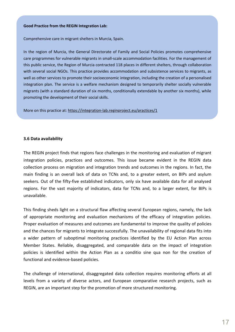#### **Good Practice from the REGIN Integration Lab:**

Comprehensive care in migrant shelters in Murcia, Spain.

In the region of Murcia, the General Directorate of Family and Social Policies promotes comprehensive care programmes for vulnerable migrants in small-scale accommodation facilities. For the management of this public service, the Region of Murcia contracted 118 places in different shelters, through collaboration with several social NGOs. This practice provides accommodation and subsistence services to migrants, as well as other services to promote their socioeconomic integration, including the creation of a personalised integration plan. The service is a welfare mechanism designed to temporarily shelter socially vulnerable migrants (with a standard duration of six months, conditionally extendable by another six months), while promoting the development of their social skills.

More on this practice at: <https://integration-lab.reginproject.eu/practices/1>

### **3.6 Data availability**

The REGIN project finds that regions face challenges in the monitoring and evaluation of migrant integration policies, practices and outcomes. This issue became evident in the REGIN data collection process on migration and integration trends and outcomes in the regions. In fact, the main finding is an overall lack of data on TCNs and, to a greater extent, on BIPs and asylum seekers. Out of the fifty-five established indicators, only six have available data for all analysed regions. For the vast majority of indicators, data for TCNs and, to a larger extent, for BIPs is unavailable.

This finding sheds light on a structural flaw affecting several European regions, namely, the lack of appropriate monitoring and evaluation mechanisms of the efficacy of integration policies. Proper evaluation of measures and outcomes are fundamental to improve the quality of policies and the chances for migrants to integrate successfully. The unavailability of regional data fits into a wider pattern of suboptimal monitoring practices identified by the EU Action Plan across Member States. Reliable, disaggregated, and comparable data on the impact of integration policies is identified within the Action Plan as a conditio sine qua non for the creation of functional and evidence-based policies.

The challenge of international, disaggregated data collection requires monitoring efforts at all levels from a variety of diverse actors, and European comparative research projects, such as REGIN, are an important step for the promotion of more structured monitoring.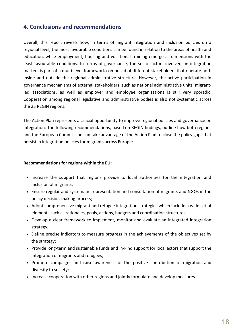# **4. Conclusions and recommendations**

Overall, this report reveals how, in terms of migrant integration and inclusion policies on a regional level, the most favourable conditions can be found in relation to the areas of health and education, while employment, housing and vocational training emerge as dimensions with the least favourable conditions. In terms of governance, the set of actors involved on integration matters is part of a multi-level framework composed of different stakeholders that operate both inside and outside the regional administrative structure. However, the active participation in governance mechanisms of external stakeholders, such as national administrative units, migrantled associations, as well as employer and employee organisations is still very sporadic. Cooperation among regional legislative and administrative bodies is also not systematic across the 25 REGIN regions.

The Action Plan represents a crucial opportunity to improve regional policies and governance on integration. The following recommendations, based on REGIN findings, outline how both regions and the European Commission can take advantage of the Action Plan to close the policy gaps that persist in integration policies for migrants across Europe:

### **Recommendations for regions within the EU:**

- Increase the support that regions provide to local authorities for the integration and inclusion of migrants;
- Ensure regular and systematic representation and consultation of migrants and NGOs in the policy decision-making process;
- Adopt comprehensive migrant and refugee integration strategies which include a wide set of elements such as rationales, goals, actions, budgets and coordination structures;
- Develop a clear framework to implement, monitor and evaluate an integrated integration strategy;
- Define precise indicators to measure progress in the achievements of the objectives set by the strategy;
- Provide long-term and sustainable funds and in-kind support for local actors that support the integration of migrants and refugees;
- Promote campaigns and raise awareness of the positive contribution of migration and diversity to society;
- Increase cooperation with other regions and jointly formulate and develop measures.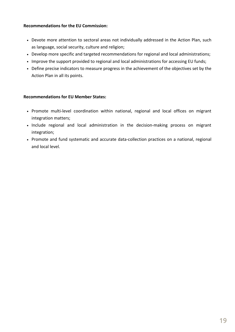## **Recommendations for the EU Commission:**

- Devote more attention to sectoral areas not individually addressed in the Action Plan, such as language, social security, culture and religion;
- Develop more specific and targeted recommendations for regional and local administrations;
- Improve the support provided to regional and local administrations for accessing EU funds;
- Define precise indicators to measure progress in the achievement of the objectives set by the Action Plan in all its points.

## **Recommendations for EU Member States:**

- Promote multi-level coordination within national, regional and local offices on migrant integration matters;
- Include regional and local administration in the decision-making process on migrant integration;
- Promote and fund systematic and accurate data-collection practices on a national, regional and local level.